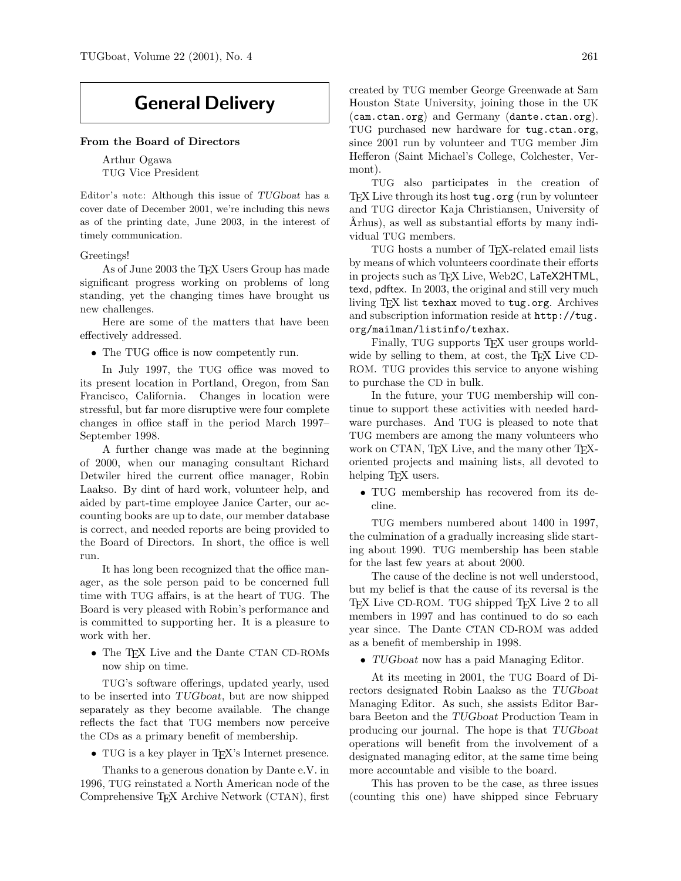# General Delivery

#### From the Board of Directors

Arthur Ogawa TUG Vice President

Editor's note: Although this issue of TUGboat has a cover date of December 2001, we're including this news as of the printing date, June 2003, in the interest of timely communication.

#### Greetings!

As of June 2003 the T<sub>E</sub>X Users Group has made significant progress working on problems of long standing, yet the changing times have brought us new challenges.

Here are some of the matters that have been effectively addressed.

• The TUG office is now competently run.

In July 1997, the TUG office was moved to its present location in Portland, Oregon, from San Francisco, California. Changes in location were stressful, but far more disruptive were four complete changes in office staff in the period March 1997– September 1998.

A further change was made at the beginning of 2000, when our managing consultant Richard Detwiler hired the current office manager, Robin Laakso. By dint of hard work, volunteer help, and aided by part-time employee Janice Carter, our accounting books are up to date, our member database is correct, and needed reports are being provided to the Board of Directors. In short, the office is well run.

It has long been recognized that the office manager, as the sole person paid to be concerned full time with TUG affairs, is at the heart of TUG. The Board is very pleased with Robin's performance and is committed to supporting her. It is a pleasure to work with her.

• The TEX Live and the Dante CTAN CD-ROMs now ship on time.

TUG's software offerings, updated yearly, used to be inserted into TUGboat, but are now shipped separately as they become available. The change reflects the fact that TUG members now perceive the CDs as a primary benefit of membership.

• TUG is a key player in T<sub>E</sub>X's Internet presence.

Thanks to a generous donation by Dante e.V. in 1996, TUG reinstated a North American node of the Comprehensive TEX Archive Network (CTAN), first

created by TUG member George Greenwade at Sam Houston State University, joining those in the UK (cam.ctan.org) and Germany (dante.ctan.org). TUG purchased new hardware for tug.ctan.org, since 2001 run by volunteer and TUG member Jim Hefferon (Saint Michael's College, Colchester, Vermont).

TUG also participates in the creation of T<sub>EX</sub> Live through its host tug.org (run by volunteer and TUG director Kaja Christiansen, University of Arhus), as well as substantial efforts by many individual TUG members.

TUG hosts a number of T<sub>E</sub>X-related email lists by means of which volunteers coordinate their efforts in projects such as TFX Live, Web2C, LaTeX2HTML, texd, pdftex. In 2003, the original and still very much living TEX list texhax moved to tug.org. Archives and subscription information reside at http://tug. org/mailman/listinfo/texhax.

Finally, TUG supports TEX user groups worldwide by selling to them, at cost, the T<sub>EX</sub> Live CD-ROM. TUG provides this service to anyone wishing to purchase the CD in bulk.

In the future, your TUG membership will continue to support these activities with needed hardware purchases. And TUG is pleased to note that TUG members are among the many volunteers who work on CTAN, TFX Live, and the many other TFXoriented projects and maining lists, all devoted to helping T<sub>EX</sub> users.

• TUG membership has recovered from its decline.

TUG members numbered about 1400 in 1997, the culmination of a gradually increasing slide starting about 1990. TUG membership has been stable for the last few years at about 2000.

The cause of the decline is not well understood, but my belief is that the cause of its reversal is the TEX Live CD-ROM. TUG shipped TEX Live 2 to all members in 1997 and has continued to do so each year since. The Dante CTAN CD-ROM was added as a benefit of membership in 1998.

• TUGboat now has a paid Managing Editor.

At its meeting in 2001, the TUG Board of Directors designated Robin Laakso as the TUGboat Managing Editor. As such, she assists Editor Barbara Beeton and the TUGboat Production Team in producing our journal. The hope is that TUGboat operations will benefit from the involvement of a designated managing editor, at the same time being more accountable and visible to the board.

This has proven to be the case, as three issues (counting this one) have shipped since February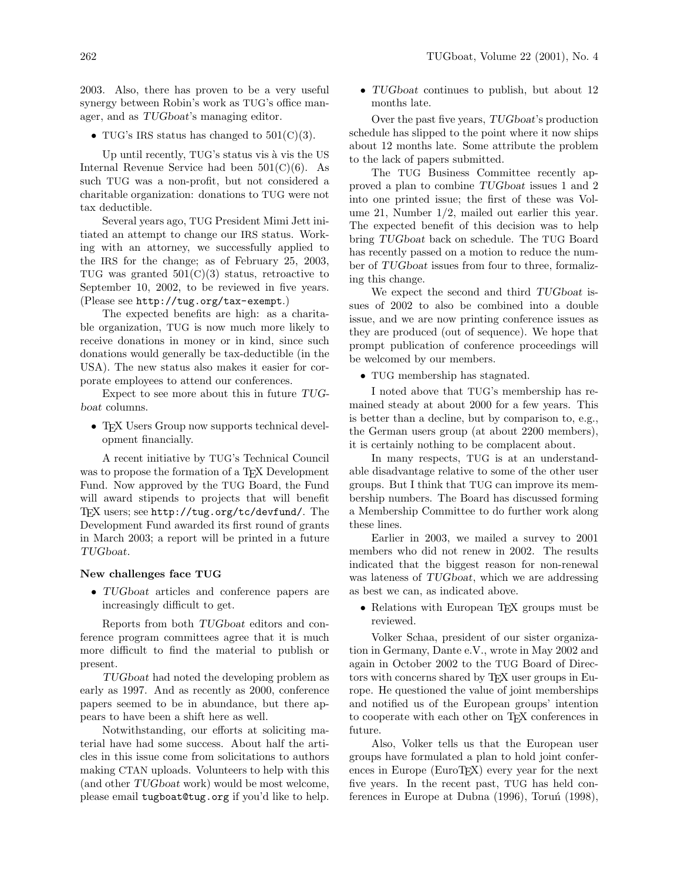2003. Also, there has proven to be a very useful synergy between Robin's work as TUG's office manager, and as TUGboat's managing editor.

• TUG's IRS status has changed to  $501(C)(3)$ .

Up until recently, TUG's status vis à vis the US Internal Revenue Service had been  $501(C)(6)$ . As such TUG was a non-profit, but not considered a charitable organization: donations to TUG were not tax deductible.

Several years ago, TUG President Mimi Jett initiated an attempt to change our IRS status. Working with an attorney, we successfully applied to the IRS for the change; as of February 25, 2003, TUG was granted  $501(C)(3)$  status, retroactive to September 10, 2002, to be reviewed in five years. (Please see http://tug.org/tax-exempt.)

The expected benefits are high: as a charitable organization, TUG is now much more likely to receive donations in money or in kind, since such donations would generally be tax-deductible (in the USA). The new status also makes it easier for corporate employees to attend our conferences.

Expect to see more about this in future TUGboat columns.

• TEX Users Group now supports technical development financially.

A recent initiative by TUG's Technical Council was to propose the formation of a T<sub>EX</sub> Development Fund. Now approved by the TUG Board, the Fund will award stipends to projects that will benefit TEX users; see http://tug.org/tc/devfund/. The Development Fund awarded its first round of grants in March 2003; a report will be printed in a future TUGboat.

## New challenges face TUG

• TUGboat articles and conference papers are increasingly difficult to get.

Reports from both TUGboat editors and conference program committees agree that it is much more difficult to find the material to publish or present.

TUGboat had noted the developing problem as early as 1997. And as recently as 2000, conference papers seemed to be in abundance, but there appears to have been a shift here as well.

Notwithstanding, our efforts at soliciting material have had some success. About half the articles in this issue come from solicitations to authors making CTAN uploads. Volunteers to help with this (and other TUGboat work) would be most welcome, please email tugboat@tug.org if you'd like to help. • TUG boat continues to publish, but about 12 months late.

Over the past five years, TUGboat's production schedule has slipped to the point where it now ships about 12 months late. Some attribute the problem to the lack of papers submitted.

The TUG Business Committee recently approved a plan to combine TUGboat issues 1 and 2 into one printed issue; the first of these was Volume 21, Number 1/2, mailed out earlier this year. The expected benefit of this decision was to help bring TUGboat back on schedule. The TUG Board has recently passed on a motion to reduce the number of TUGboat issues from four to three, formalizing this change.

We expect the second and third TUGboat issues of 2002 to also be combined into a double issue, and we are now printing conference issues as they are produced (out of sequence). We hope that prompt publication of conference proceedings will be welcomed by our members.

• TUG membership has stagnated.

I noted above that TUG's membership has remained steady at about 2000 for a few years. This is better than a decline, but by comparison to, e.g., the German users group (at about 2200 members), it is certainly nothing to be complacent about.

In many respects, TUG is at an understandable disadvantage relative to some of the other user groups. But I think that TUG can improve its membership numbers. The Board has discussed forming a Membership Committee to do further work along these lines.

Earlier in 2003, we mailed a survey to 2001 members who did not renew in 2002. The results indicated that the biggest reason for non-renewal was lateness of TUGboat, which we are addressing as best we can, as indicated above.

• Relations with European T<sub>F</sub>X groups must be reviewed.

Volker Schaa, president of our sister organization in Germany, Dante e.V., wrote in May 2002 and again in October 2002 to the TUG Board of Directors with concerns shared by T<sub>E</sub>X user groups in Europe. He questioned the value of joint memberships and notified us of the European groups' intention to cooperate with each other on TEX conferences in future.

Also, Volker tells us that the European user groups have formulated a plan to hold joint conferences in Europe (EuroTEX) every year for the next five years. In the recent past, TUG has held conferences in Europe at Dubna  $(1996)$ , Toruń  $(1998)$ ,